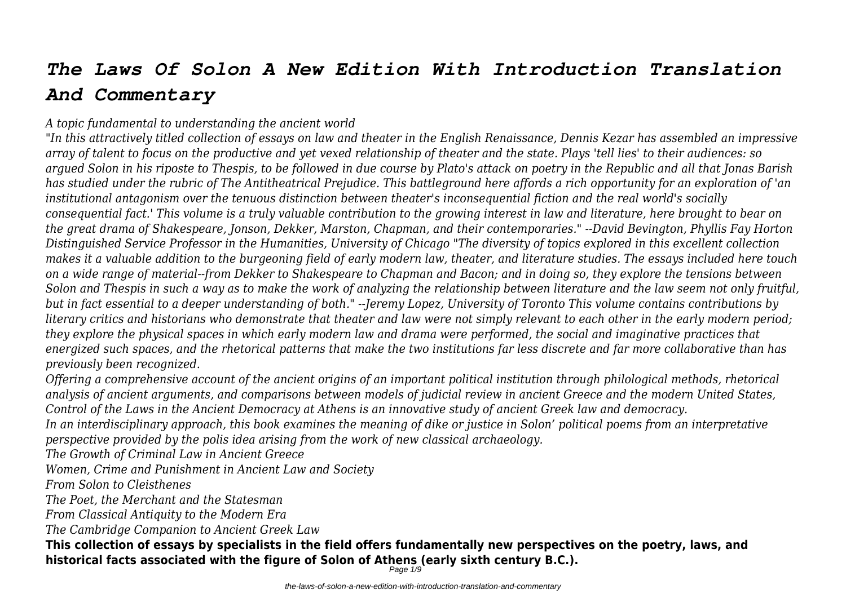# *The Laws Of Solon A New Edition With Introduction Translation And Commentary*

### *A topic fundamental to understanding the ancient world*

*"In this attractively titled collection of essays on law and theater in the English Renaissance, Dennis Kezar has assembled an impressive array of talent to focus on the productive and yet vexed relationship of theater and the state. Plays 'tell lies' to their audiences: so argued Solon in his riposte to Thespis, to be followed in due course by Plato's attack on poetry in the Republic and all that Jonas Barish has studied under the rubric of The Antitheatrical Prejudice. This battleground here affords a rich opportunity for an exploration of 'an institutional antagonism over the tenuous distinction between theater's inconsequential fiction and the real world's socially consequential fact.' This volume is a truly valuable contribution to the growing interest in law and literature, here brought to bear on the great drama of Shakespeare, Jonson, Dekker, Marston, Chapman, and their contemporaries." --David Bevington, Phyllis Fay Horton Distinguished Service Professor in the Humanities, University of Chicago "The diversity of topics explored in this excellent collection makes it a valuable addition to the burgeoning field of early modern law, theater, and literature studies. The essays included here touch on a wide range of material--from Dekker to Shakespeare to Chapman and Bacon; and in doing so, they explore the tensions between Solon and Thespis in such a way as to make the work of analyzing the relationship between literature and the law seem not only fruitful, but in fact essential to a deeper understanding of both." --Jeremy Lopez, University of Toronto This volume contains contributions by literary critics and historians who demonstrate that theater and law were not simply relevant to each other in the early modern period; they explore the physical spaces in which early modern law and drama were performed, the social and imaginative practices that energized such spaces, and the rhetorical patterns that make the two institutions far less discrete and far more collaborative than has previously been recognized.*

*Offering a comprehensive account of the ancient origins of an important political institution through philological methods, rhetorical analysis of ancient arguments, and comparisons between models of judicial review in ancient Greece and the modern United States, Control of the Laws in the Ancient Democracy at Athens is an innovative study of ancient Greek law and democracy.*

*In an interdisciplinary approach, this book examines the meaning of dike or justice in Solon' political poems from an interpretative perspective provided by the polis idea arising from the work of new classical archaeology.*

*The Growth of Criminal Law in Ancient Greece*

*Women, Crime and Punishment in Ancient Law and Society*

*From Solon to Cleisthenes*

*The Poet, the Merchant and the Statesman*

*From Classical Antiquity to the Modern Era*

*The Cambridge Companion to Ancient Greek Law*

**This collection of essays by specialists in the field offers fundamentally new perspectives on the poetry, laws, and historical facts associated with the figure of Solon of Athens (early sixth century B.C.).**

Page 1/9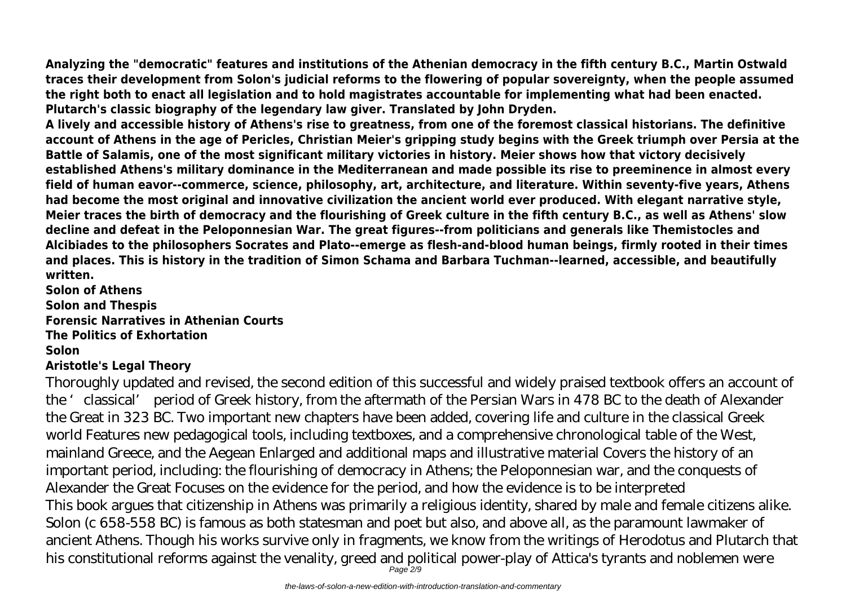**Analyzing the "democratic" features and institutions of the Athenian democracy in the fifth century B.C., Martin Ostwald traces their development from Solon's judicial reforms to the flowering of popular sovereignty, when the people assumed the right both to enact all legislation and to hold magistrates accountable for implementing what had been enacted. Plutarch's classic biography of the legendary law giver. Translated by John Dryden.**

**A lively and accessible history of Athens's rise to greatness, from one of the foremost classical historians. The definitive account of Athens in the age of Pericles, Christian Meier's gripping study begins with the Greek triumph over Persia at the Battle of Salamis, one of the most significant military victories in history. Meier shows how that victory decisively established Athens's military dominance in the Mediterranean and made possible its rise to preeminence in almost every field of human eavor--commerce, science, philosophy, art, architecture, and literature. Within seventy-five years, Athens had become the most original and innovative civilization the ancient world ever produced. With elegant narrative style, Meier traces the birth of democracy and the flourishing of Greek culture in the fifth century B.C., as well as Athens' slow decline and defeat in the Peloponnesian War. The great figures--from politicians and generals like Themistocles and Alcibiades to the philosophers Socrates and Plato--emerge as flesh-and-blood human beings, firmly rooted in their times and places. This is history in the tradition of Simon Schama and Barbara Tuchman--learned, accessible, and beautifully written.**

**Solon of Athens Solon and Thespis Forensic Narratives in Athenian Courts The Politics of Exhortation Solon Aristotle's Legal Theory**

# Thoroughly updated and revised, the second edition of this successful and widely praised textbook offers an account of the 'classical' period of Greek history, from the aftermath of the Persian Wars in 478 BC to the death of Alexander the Great in 323 BC. Two important new chapters have been added, covering life and culture in the classical Greek world Features new pedagogical tools, including textboxes, and a comprehensive chronological table of the West, mainland Greece, and the Aegean Enlarged and additional maps and illustrative material Covers the history of an important period, including: the flourishing of democracy in Athens; the Peloponnesian war, and the conquests of Alexander the Great Focuses on the evidence for the period, and how the evidence is to be interpreted This book argues that citizenship in Athens was primarily a religious identity, shared by male and female citizens alike. Solon (c 658-558 BC) is famous as both statesman and poet but also, and above all, as the paramount lawmaker of ancient Athens. Though his works survive only in fragments, we know from the writings of Herodotus and Plutarch that his constitutional reforms against the venality, greed and political power-play of Attica's tyrants and noblemen were  $P$ age  $2/9$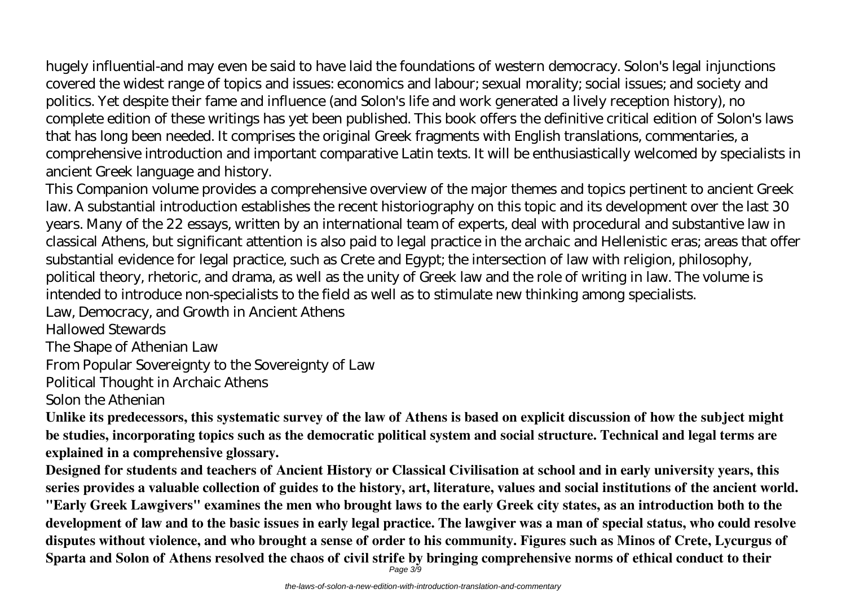hugely influential-and may even be said to have laid the foundations of western democracy. Solon's legal injunctions covered the widest range of topics and issues: economics and labour; sexual morality; social issues; and society and politics. Yet despite their fame and influence (and Solon's life and work generated a lively reception history), no complete edition of these writings has yet been published. This book offers the definitive critical edition of Solon's laws that has long been needed. It comprises the original Greek fragments with English translations, commentaries, a comprehensive introduction and important comparative Latin texts. It will be enthusiastically welcomed by specialists in ancient Greek language and history.

This Companion volume provides a comprehensive overview of the major themes and topics pertinent to ancient Greek law. A substantial introduction establishes the recent historiography on this topic and its development over the last 30 years. Many of the 22 essays, written by an international team of experts, deal with procedural and substantive law in classical Athens, but significant attention is also paid to legal practice in the archaic and Hellenistic eras; areas that offer substantial evidence for legal practice, such as Crete and Egypt; the intersection of law with religion, philosophy, political theory, rhetoric, and drama, as well as the unity of Greek law and the role of writing in law. The volume is intended to introduce non-specialists to the field as well as to stimulate new thinking among specialists.

Law, Democracy, and Growth in Ancient Athens

Hallowed Stewards

The Shape of Athenian Law

From Popular Sovereignty to the Sovereignty of Law

Political Thought in Archaic Athens

Solon the Athenian

**Unlike its predecessors, this systematic survey of the law of Athens is based on explicit discussion of how the subject might be studies, incorporating topics such as the democratic political system and social structure. Technical and legal terms are explained in a comprehensive glossary.**

**Designed for students and teachers of Ancient History or Classical Civilisation at school and in early university years, this series provides a valuable collection of guides to the history, art, literature, values and social institutions of the ancient world. "Early Greek Lawgivers" examines the men who brought laws to the early Greek city states, as an introduction both to the development of law and to the basic issues in early legal practice. The lawgiver was a man of special status, who could resolve disputes without violence, and who brought a sense of order to his community. Figures such as Minos of Crete, Lycurgus of Sparta and Solon of Athens resolved the chaos of civil strife by bringing comprehensive norms of ethical conduct to their**

Page 3/9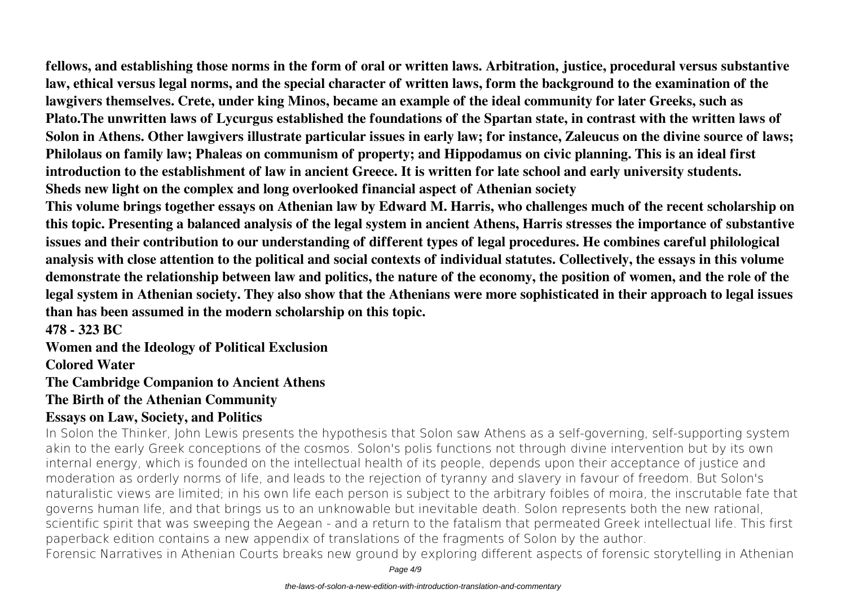**fellows, and establishing those norms in the form of oral or written laws. Arbitration, justice, procedural versus substantive law, ethical versus legal norms, and the special character of written laws, form the background to the examination of the lawgivers themselves. Crete, under king Minos, became an example of the ideal community for later Greeks, such as Plato.The unwritten laws of Lycurgus established the foundations of the Spartan state, in contrast with the written laws of Solon in Athens. Other lawgivers illustrate particular issues in early law; for instance, Zaleucus on the divine source of laws; Philolaus on family law; Phaleas on communism of property; and Hippodamus on civic planning. This is an ideal first introduction to the establishment of law in ancient Greece. It is written for late school and early university students. Sheds new light on the complex and long overlooked financial aspect of Athenian society**

**This volume brings together essays on Athenian law by Edward M. Harris, who challenges much of the recent scholarship on this topic. Presenting a balanced analysis of the legal system in ancient Athens, Harris stresses the importance of substantive issues and their contribution to our understanding of different types of legal procedures. He combines careful philological analysis with close attention to the political and social contexts of individual statutes. Collectively, the essays in this volume demonstrate the relationship between law and politics, the nature of the economy, the position of women, and the role of the legal system in Athenian society. They also show that the Athenians were more sophisticated in their approach to legal issues than has been assumed in the modern scholarship on this topic.**

**478 - 323 BC**

**Women and the Ideology of Political Exclusion**

**Colored Water**

**The Cambridge Companion to Ancient Athens**

**The Birth of the Athenian Community**

## **Essays on Law, Society, and Politics**

In Solon the Thinker, John Lewis presents the hypothesis that Solon saw Athens as a self-governing, self-supporting system akin to the early Greek conceptions of the cosmos. Solon's polis functions not through divine intervention but by its own internal energy, which is founded on the intellectual health of its people, depends upon their acceptance of justice and moderation as orderly norms of life, and leads to the rejection of tyranny and slavery in favour of freedom. But Solon's naturalistic views are limited; in his own life each person is subject to the arbitrary foibles of moira, the inscrutable fate that governs human life, and that brings us to an unknowable but inevitable death. Solon represents both the new rational, scientific spirit that was sweeping the Aegean - and a return to the fatalism that permeated Greek intellectual life. This first paperback edition contains a new appendix of translations of the fragments of Solon by the author. Forensic Narratives in Athenian Courts breaks new ground by exploring different aspects of forensic storytelling in Athenian

Page 4/9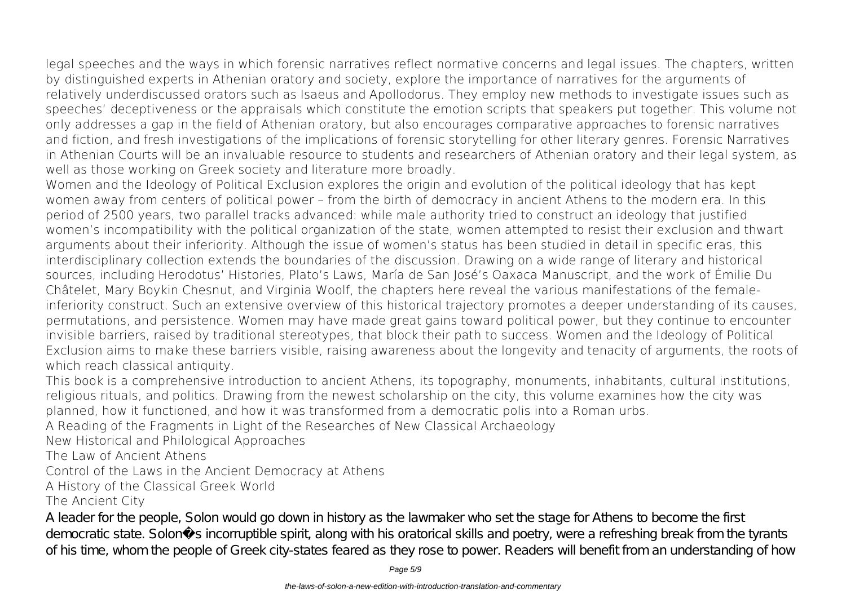legal speeches and the ways in which forensic narratives reflect normative concerns and legal issues. The chapters, written by distinguished experts in Athenian oratory and society, explore the importance of narratives for the arguments of relatively underdiscussed orators such as Isaeus and Apollodorus. They employ new methods to investigate issues such as speeches' deceptiveness or the appraisals which constitute the emotion scripts that speakers put together. This volume not only addresses a gap in the field of Athenian oratory, but also encourages comparative approaches to forensic narratives and fiction, and fresh investigations of the implications of forensic storytelling for other literary genres. Forensic Narratives in Athenian Courts will be an invaluable resource to students and researchers of Athenian oratory and their legal system, as well as those working on Greek society and literature more broadly.

Women and the Ideology of Political Exclusion explores the origin and evolution of the political ideology that has kept women away from centers of political power – from the birth of democracy in ancient Athens to the modern era. In this period of 2500 years, two parallel tracks advanced: while male authority tried to construct an ideology that justified women's incompatibility with the political organization of the state, women attempted to resist their exclusion and thwart arguments about their inferiority. Although the issue of women's status has been studied in detail in specific eras, this interdisciplinary collection extends the boundaries of the discussion. Drawing on a wide range of literary and historical sources, including Herodotus' Histories, Plato's Laws, María de San José's Oaxaca Manuscript, and the work of Émilie Du Châtelet, Mary Boykin Chesnut, and Virginia Woolf, the chapters here reveal the various manifestations of the femaleinferiority construct. Such an extensive overview of this historical trajectory promotes a deeper understanding of its causes, permutations, and persistence. Women may have made great gains toward political power, but they continue to encounter invisible barriers, raised by traditional stereotypes, that block their path to success. Women and the Ideology of Political Exclusion aims to make these barriers visible, raising awareness about the longevity and tenacity of arguments, the roots of which reach classical antiquity.

This book is a comprehensive introduction to ancient Athens, its topography, monuments, inhabitants, cultural institutions, religious rituals, and politics. Drawing from the newest scholarship on the city, this volume examines how the city was planned, how it functioned, and how it was transformed from a democratic polis into a Roman urbs.

A Reading of the Fragments in Light of the Researches of New Classical Archaeology

New Historical and Philological Approaches

The Law of Ancient Athens

Control of the Laws in the Ancient Democracy at Athens

A History of the Classical Greek World

The Ancient City

A leader for the people, Solon would go down in history as the lawmaker who set the stage for A thens to become the first democratic state. Solon sincorruptible spirit, along with his oratorical skills and poetry, were a refreshing break from the tyrants of his time, whom the people of Greek city-states feared as they rose to power. Readers will benefit from an understanding of how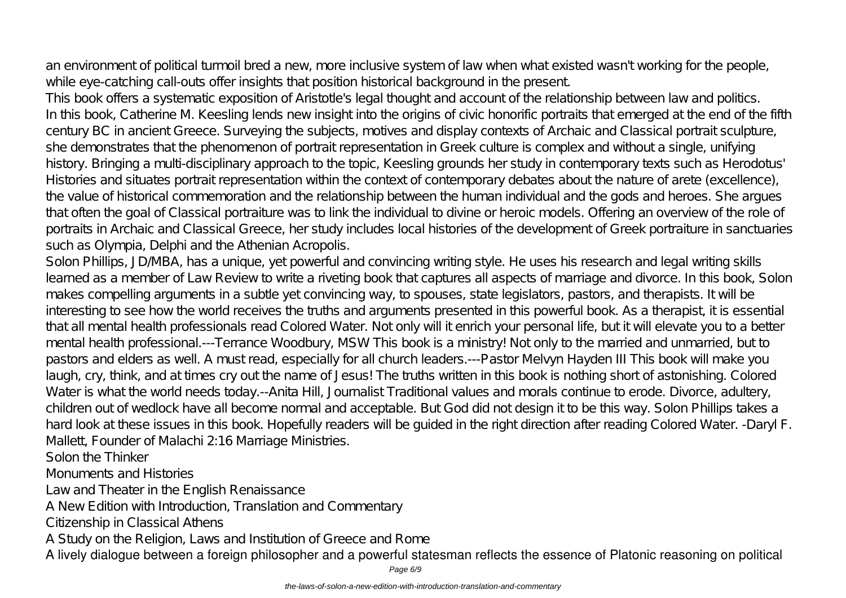an environment of political turmoil bred a new, more inclusive system of law when what existed wasn't working for the people, while eye-catching call-outs offer insights that position historical background in the present.

This book offers a systematic exposition of Aristotle's legal thought and account of the relationship between law and politics. In this book, Catherine M. Keesling lends new insight into the origins of civic honorific portraits that emerged at the end of the fifth century BC in ancient Greece. Surveying the subjects, motives and display contexts of Archaic and Classical portrait sculpture, she demonstrates that the phenomenon of portrait representation in Greek culture is complex and without a single, unifying history. Bringing a multi-disciplinary approach to the topic, Keesling grounds her study in contemporary texts such as Herodotus' Histories and situates portrait representation within the context of contemporary debates about the nature of arete (excellence), the value of historical commemoration and the relationship between the human individual and the gods and heroes. She argues that often the goal of Classical portraiture was to link the individual to divine or heroic models. Offering an overview of the role of portraits in Archaic and Classical Greece, her study includes local histories of the development of Greek portraiture in sanctuaries such as Olympia, Delphi and the Athenian Acropolis.

Solon Phillips, JD MBA, has a unique, yet powerful and convincing writing style. He uses his research and legal writing skills learned as a member of Law Review to write a riveting book that captures all aspects of marriage and divorce. In this book, Solon makes compelling arguments in a subtle yet convincing way, to spouses, state legislators, pastors, and therapists. It will be interesting to see how the world receives the truths and arguments presented in this powerful book. As a therapist, it is essential that all mental health professionals read Colored Water. Not only will it enrich your personal life, but it will elevate you to a better mental health professional.---Terrance Woodbury, MSW This book is a ministry! Not only to the married and unmarried, but to pastors and elders as well. A must read, especially for all church leaders.---Pastor Melvyn Hayden III This book will make you laugh, cry, think, and at times cry out the name of Jesus! The truths written in this book is nothing short of astonishing. Colored Water is what the world needs today.--Anita Hill, Journalist Traditional values and morals continue to erode. Divorce, adultery, children out of wedlock have all become normal and acceptable. But God did not design it to be this way. Solon Phillips takes a hard look at these issues in this book. Hopefully readers will be guided in the right direction after reading Colored Water. -Daryl F. Mallett, Founder of Malachi 2:16 Marriage Ministries.

Solon the Thinker

Monuments and Histories

Law and Theater in the English Renaissance

A New Edition with Introduction, Translation and Commentary

Citizenship in Classical Athens

A Study on the Religion, Laws and Institution of Greece and Rome

A lively dialogue between a foreign philosopher and a powerful statesman reflects the essence of Platonic reasoning on political

Page 6/9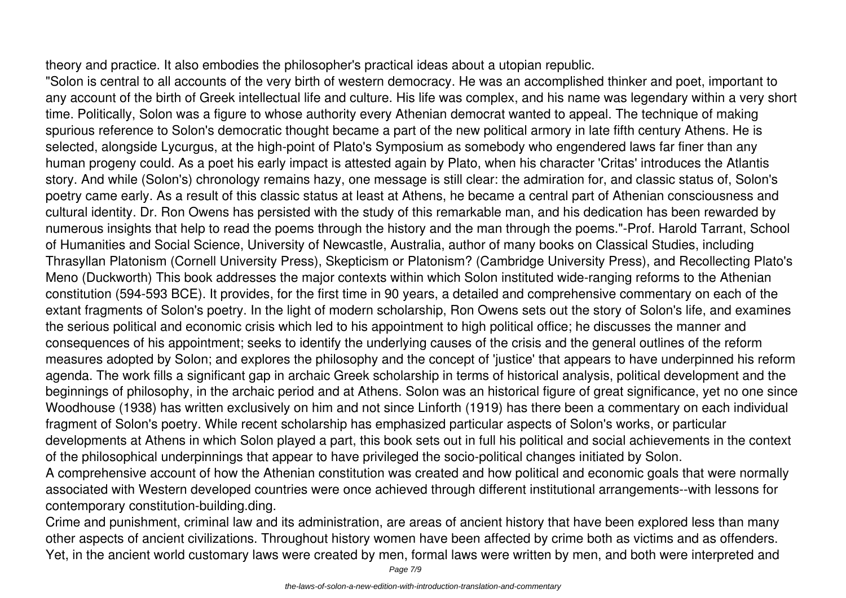theory and practice. It also embodies the philosopher's practical ideas about a utopian republic.

"Solon is central to all accounts of the very birth of western democracy. He was an accomplished thinker and poet, important to any account of the birth of Greek intellectual life and culture. His life was complex, and his name was legendary within a very short time. Politically, Solon was a figure to whose authority every Athenian democrat wanted to appeal. The technique of making spurious reference to Solon's democratic thought became a part of the new political armory in late fifth century Athens. He is selected, alongside Lycurgus, at the high-point of Plato's Symposium as somebody who engendered laws far finer than any human progeny could. As a poet his early impact is attested again by Plato, when his character 'Critas' introduces the Atlantis story. And while (Solon's) chronology remains hazy, one message is still clear: the admiration for, and classic status of, Solon's poetry came early. As a result of this classic status at least at Athens, he became a central part of Athenian consciousness and cultural identity. Dr. Ron Owens has persisted with the study of this remarkable man, and his dedication has been rewarded by numerous insights that help to read the poems through the history and the man through the poems."-Prof. Harold Tarrant, School of Humanities and Social Science, University of Newcastle, Australia, author of many books on Classical Studies, including Thrasyllan Platonism (Cornell University Press), Skepticism or Platonism? (Cambridge University Press), and Recollecting Plato's Meno (Duckworth) This book addresses the major contexts within which Solon instituted wide-ranging reforms to the Athenian constitution (594-593 BCE). It provides, for the first time in 90 years, a detailed and comprehensive commentary on each of the extant fragments of Solon's poetry. In the light of modern scholarship, Ron Owens sets out the story of Solon's life, and examines the serious political and economic crisis which led to his appointment to high political office; he discusses the manner and consequences of his appointment; seeks to identify the underlying causes of the crisis and the general outlines of the reform measures adopted by Solon; and explores the philosophy and the concept of 'justice' that appears to have underpinned his reform agenda. The work fills a significant gap in archaic Greek scholarship in terms of historical analysis, political development and the beginnings of philosophy, in the archaic period and at Athens. Solon was an historical figure of great significance, yet no one since Woodhouse (1938) has written exclusively on him and not since Linforth (1919) has there been a commentary on each individual fragment of Solon's poetry. While recent scholarship has emphasized particular aspects of Solon's works, or particular developments at Athens in which Solon played a part, this book sets out in full his political and social achievements in the context of the philosophical underpinnings that appear to have privileged the socio-political changes initiated by Solon.

A comprehensive account of how the Athenian constitution was created and how political and economic goals that were normally associated with Western developed countries were once achieved through different institutional arrangements--with lessons for contemporary constitution-building.ding.

Crime and punishment, criminal law and its administration, are areas of ancient history that have been explored less than many other aspects of ancient civilizations. Throughout history women have been affected by crime both as victims and as offenders. Yet, in the ancient world customary laws were created by men, formal laws were written by men, and both were interpreted and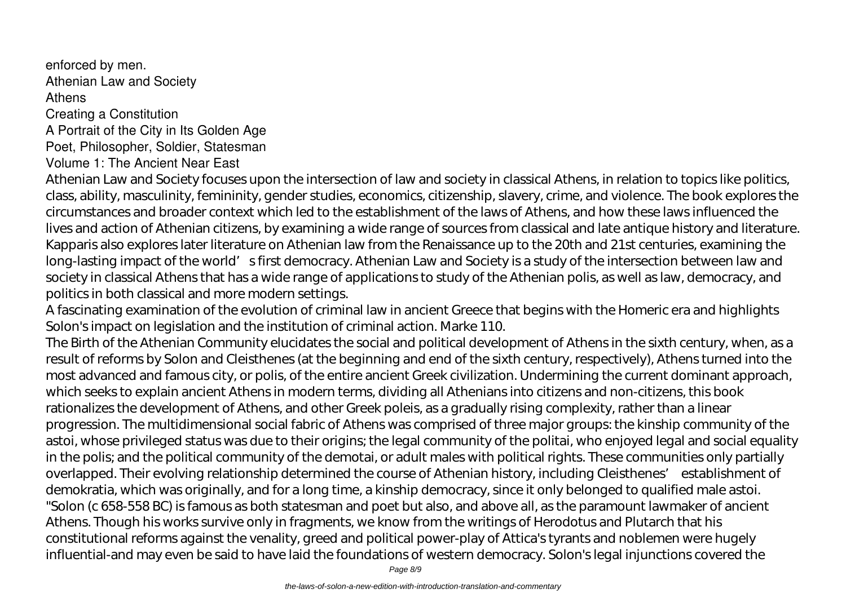enforced by men. Athenian Law and Society Athens Creating a Constitution A Portrait of the City in Its Golden Age Poet, Philosopher, Soldier, Statesman Volume 1: The Ancient Near East

Athenian Law and Society focuses upon the intersection of law and society in classical Athens, in relation to topics like politics, class, ability, masculinity, femininity, gender studies, economics, citizenship, slavery, crime, and violence. The book explores the circumstances and broader context which led to the establishment of the laws of Athens, and how these laws influenced the lives and action of Athenian citizens, by examining a wide range of sources from classical and late antique history and literature. Kapparis also explores later literature on Athenian law from the Renaissance up to the 20th and 21st centuries, examining the long-lasting impact of the world' s first democracy. Athenian Law and Society is a study of the intersection between law and society in classical Athens that has a wide range of applications to study of the Athenian polis, as well as law, democracy, and politics in both classical and more modern settings.

A fascinating examination of the evolution of criminal law in ancient Greece that begins with the Homeric era and highlights Solon's impact on legislation and the institution of criminal action. Marke 110.

The Birth of the Athenian Community elucidates the social and political development of Athens in the sixth century, when, as a result of reforms by Solon and Cleisthenes (at the beginning and end of the sixth century, respectively), Athens turned into the most advanced and famous city, or polis, of the entire ancient Greek civilization. Undermining the current dominant approach, which seeks to explain ancient Athens in modern terms, dividing all Athenians into citizens and non-citizens, this book rationalizes the development of Athens, and other Greek poleis, as a gradually rising complexity, rather than a linear progression. The multidimensional social fabric of Athens was comprised of three major groups: the kinship community of the astoi, whose privileged status was due to their origins; the legal community of the politai, who enjoyed legal and social equality in the polis; and the political community of the demotai, or adult males with political rights. These communities only partially overlapped. Their evolving relationship determined the course of Athenian history, including Cleisthenes' establishment of demokratia, which was originally, and for a long time, a kinship democracy, since it only belonged to qualified male astoi. "Solon (c 658-558 BC) is famous as both statesman and poet but also, and above all, as the paramount lawmaker of ancient Athens. Though his works survive only in fragments, we know from the writings of Herodotus and Plutarch that his constitutional reforms against the venality, greed and political power-play of Attica's tyrants and noblemen were hugely influential-and may even be said to have laid the foundations of western democracy. Solon's legal injunctions covered the